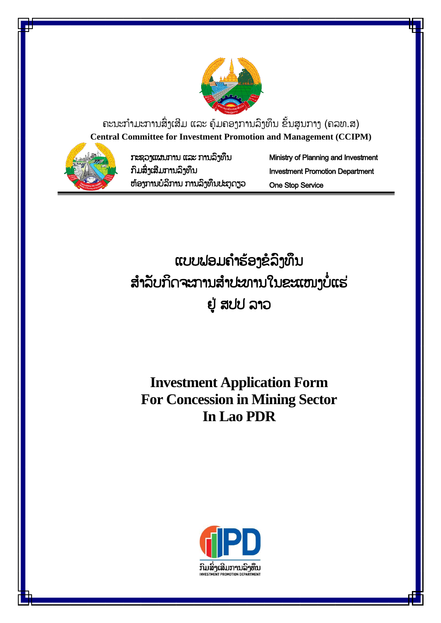

ຄະນະກຳມະການສິ່ງເສີມ ແລະ ຄຸ້ມຄອງການລິງທຶນ ຂັ້ນສູນກາງ (ຄລທ.ສ) **Central Committee for Investment Promotion and Management (CCIPM)**



ກະຊວງແຜນກຳນ ແລະ ກຳນລົງທຶນ ກົມສົົ່ງເສີມກຳນລົງທຶນ ຫຸ້ອງກຳນບໍລິກຳນ ກຳນລົງທຶນປະຕູດຽວ Ministry of Planning and Investment Investment Promotion Department One Stop Service

ແບບຟອມຄຳຮ້ອງຂໍລິງທຶນ ສຳລັບກິດຈະການສຳປະທານໃນຂະແໜງບໍ່ແຮ່ ຢູູ່ ສປປ ລຳວ

**Investment Application Form For Concession in Mining Sector In Lao PDR**

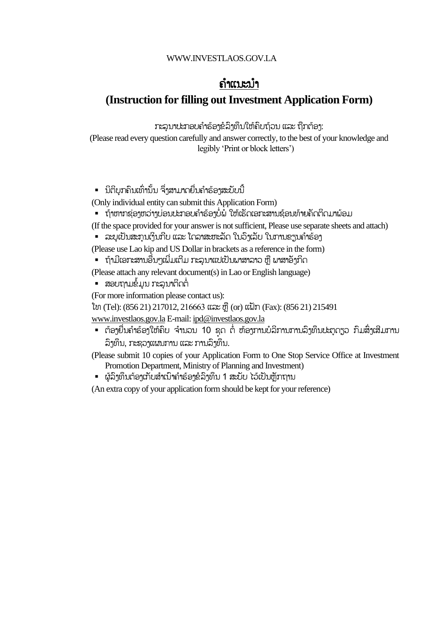### ຄຳແນະນຳ

### **(Instruction for filling out Investment Application Form)**

ກະລນາປະກອບຄຳຮ້ອງຂໍລິງທຶນໃຫ້ຄົບຖ້ວນ ແລະ ຖືກຕ້ອງ:

(Please read every question carefully and answer correctly, to the best of your knowledge and legibly 'Print or block letters')

▪ ນິຕິບຸກຄິນເທົ່ານັ້ນ ຈຶ່ງສາມາດຍື່ນຄຳຮ້ອງສະບັບນີ້

(Only individual entity can submit this Application Form)

- ຖ້າຫາກຊ່ອງຫວ່າງບ່ອນປະກອບຄຳຮ້ອງບໍ່ພໍ ໃຫ້ເຮັດເອກະສານຊ້ອນທ້າຍຄັດຕິດມາພ້ອມ
- (If the space provided for your answer is not sufficient, Please use separate sheets and attach)
- ລະບຸເປັນສະກຸນເງິນກີບ ແລະ ໂດລາສະຫະລັດ ໃນວົງເລັບ ໃນການຂຽນຄຳຮ້ອງ

(Please use Lao kip and US Dollar in brackets as a reference in the form)

▪ ຖ້າມີເອກະສານອື່ນໆເພີ່ມເຕີມ ກະລຸນາແປເປັນພາສາລາວ ຫຼື ພາສາອັງກິດ

(Please attach any relevant document(s) in Lao or English language)

▪ ສອບຖາມຂໍ້ມູນ ກະລຸນາຕິດຕໍ່

(For more information please contact us):

ໂທ (Tel): (856 21) 217012, 216663 ແລະ ຫຼື (or) ແຝັກ (Fax): (856 21) 215491

[www.investlaos.gov.la](http://www.investlaos.gov.la/) E-mail[: ipd@investlaos.gov.la](mailto:ipd@investlaos.gov.la)

▪ ຕ້ອງຍື່ນຄຳຮ້ອງໃຫ້ຄົບ ຈຳນວນ 10 ຊຸດ ຕໍ່ ຫ້ອງການບໍລິການການລິງທຶນປະຕູດຽວ ກົມສິ່ງເສີມການ ລົງທຶນ, ກະຊວງແຜນກຳນ ແລະ ກຳນລົງທຶນ.

(Please submit 10 copies of your Application Form to One Stop Service Office at Investment Promotion Department, Ministry of Planning and Investment)

▪ ຜູ້ລິງທຶນຕ້ອງເກັບສຳເນົາຄຳຮ້ອງຂໍລິງທຶນ 1 ສະບັບ ໄວ້ເປັນຫຼັກຖານ

(An extra copy of your application form should be kept for your reference)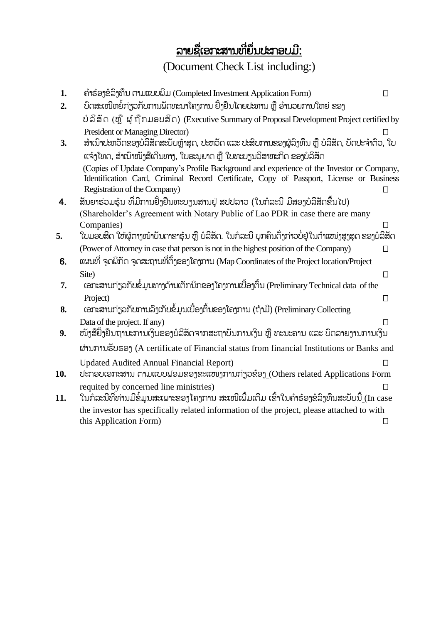## ລຳຍຊືຶ່ເອກະສຳນທີຶ່ຍຶຶ່ນປະກອບມີ:

## (Document Check List including:)

| 1.  | ຄຳຮ້ອງຂໍລິງທຶນ ຕາມແບບພິມ (Completed Investment Application Form)                                     | П            |
|-----|------------------------------------------------------------------------------------------------------|--------------|
| 2.  | ບົດສະເໜີຫຍໍ້ກ່ຽວກັບການພັດທະນາໂຄງການ ຢັ້ງຢືນໂດຍປະທານ ຫຼື ອຳນວຍການໃຫຍ່ ຂອງ                             |              |
|     | ບໍລິສັດ (ຫຼື ຜູ້ຖືກມອບສິດ) (Executive Summary of Proposal Development Project certified by           |              |
|     | <b>President or Managing Director)</b>                                                               |              |
| 3.  | ສຳເນົາປະຫວັດຂອງບໍລິສັດສະບັບຫຼ້າສຸດ, ປະຫວັດ ແລະ ປະສິບການຂອງຜູ້ລຶງທຶນ ຫຼື ບໍລິສັດ, ບັດປະຈຳຕົວ, ໃບ      |              |
|     | ແຈ້ງໂທດ, ສຳເນົາໜັງສືເດີນທາງ, ໃບອະນຸຍາດ ຫຼື ໃບທະບຽນວິສາຫະກິດ ຂອງບໍລິສັດ                               |              |
|     | (Copies of Update Company's Profile Background and experience of the Investor or Company,            |              |
|     | Identification Card, Criminal Record Certificate, Copy of Passport, License or Business              |              |
|     | Registration of the Company)                                                                         |              |
| 4.  | ສັນຍາຮ່ວມຮຸ້ນ ທີ່ມີການຢັ້ງຢືນທະບຽນສານຢູ່ ສປປລາວ (ໃນກໍລະນີ ມີສອງບໍລິສັດຂື້ນໄປ)                        |              |
|     | (Shareholder's Agreement with Notary Public of Lao PDR in case there are many                        |              |
|     | Companies)                                                                                           | $\mathsf{L}$ |
| 5.  | ໃບມອບສິດ ໃຫ້ຜູ້ຕາງໜ້າບັນດາຂາຮຸ້ນ ຫຼື ບໍລິສັດ. ໃນກໍລະນີ ບຸກຄົນດັ່ງກ່າວບໍ່ຢູ່ໃນຕຳແໜ່ງສູງສຸດ ຂອງບໍລິສັດ |              |
|     | (Power of Attorney in case that person is not in the highest position of the Company)                | $\Box$       |
| 6.  | ແຜນທີ່ ຈຸດພິກັດ ຈຸດສະຖານທີ່ຕັ້ງຂອງໂຄງການ (Map Coordinates of the Project location/Project            |              |
|     | Site)                                                                                                | $\Box$       |
| 7.  | ເອກະສານກ່ຽວກັບຂໍ້ມູນທາງດ້ານເຕັກນິກຂອງໂຄງການເບື້ອງຕື່ນ (Preliminary Technical data of the             |              |
|     | Project)                                                                                             | П            |
| 8.  | ເອກະສານກ່ຽວກັບການລິງເກັບຂໍ້ມູນເບື້ອງຕົ້ນຂອງໂຄງການ (ຖ້າມີ) (Preliminary Collecting                    |              |
|     | Data of the project. If any)                                                                         | $\perp$      |
| 9.  | ໜັງສືຢັ້ງຢືນຖານະການເງິນຂອງບໍລິສັດຈາກສະຖາບັນການເງິນ ຫຼື ທະນະຄານ ແລະ ບົດລາຍງານການເງິນ                  |              |
|     | ผ่ามภามธับธอา (A certificate of Financial status from financial Institutions or Banks and            |              |
|     | <b>Updated Audited Annual Financial Report)</b>                                                      | П            |
| 10. | ປະກອບເອກະສານ ຕາມແບບຟອມຂອງຂະແໜງການກ່ຽວຂ້ອງ (Others related Applications Form                          |              |
|     | requited by concerned line ministries)                                                               |              |
| 11. | ໃນກໍລະນີທີ່ທ່ານມີຂໍ້ມູນສະເພາະຂອງໂຄງການ ສະເໜີເພີ້ມເຕີມ ເຂົ້າໃນຄຳຮ້ອງຂໍລິງທຶນສະບັບນີ້ (In case         |              |
|     | the investor has specifically related information of the project, please attached to with            |              |
|     | this Application Form)                                                                               | $\perp$      |
|     |                                                                                                      |              |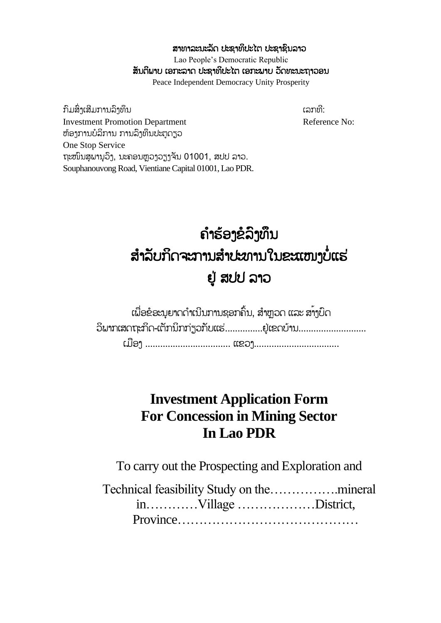ສາທາລະນະລັດ ປະຊາທິປະໄຕ ປະຊາຊົນລາວ Lao People's Democratic Republic ສັນຕິພາບ ເອກະລາດ ປະຊາທິປະໄຕ ເອກະພາບ ວັດທະນະຖາວອນ Peace Independent Democracy Unity Prosperity

ກົມສົ່າເສີມການລົາທຶນ ເລກທີ: ເລກທີ: ເລກທີ: Investment Promotion Department<br>
Reference No: ຫຸ້ອງກຳນບໍລິກຳນ ກຳນລົງທຶນປະຕູດຽວ One Stop Service ຖະໜົນສຸພານຸວິງ, ນະຄອນຫຼວງວຽງຈັນ 01001, ສປປ ລາວ. Souphanouvong Road, Vientiane Capital 01001, Lao PDR.

# ຄ ຳຮຸ້ອງຂໍລົງທຶນ ສຳລັບກິດຈະການສຳປະທານໃນຂະແໜາບໍ່ແຮ່ ຢູູ່ ສປປ ລຳວ

ເພື່ອຂໍອະນຸຍາດດຳເນີນການຊອກຄົ້ນ, ສຳຫຼວດ ແລະ ສາງປົດ ວິພາກເສດຖະກິດ-ເຕັກນິກກ່ຽວກັບແຮ່...............ຢູ່ເຂດບ້ານ............................ ເມືອງ ................................... ແຂວງ...................................

## **Investment Application Form For Concession in Mining Sector In Lao PDR**

To carry out the Prospecting and Exploration and

Technical feasibility Study on the…………….mineral in…………Village ………………District, Province……………………………………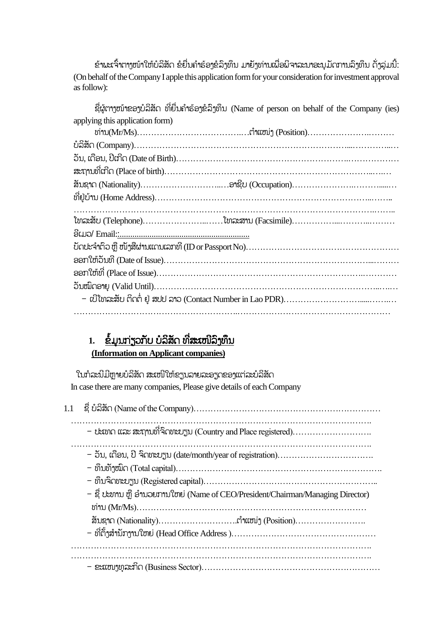ຂ້າພະເຈົ້າຕາງໜ້າໃຫ້ບໍລິສັດ ຂໍຍື່ນຄຳຮ້ອງຂໍລິງທຶນ ມາຍັງທ່ານເພື່ອພິຈາລະນາອະນຸມັດການລິງທຶນ ດັ່ງລຸ່ມນີ້: (On behalf of the Company I apple this application form for your consideration for investment approval as follow):

| ຊື່ຜູ້ຕາງໜ້າຂອງບໍລິສັດ ທີ່ຍື່ນຄຳຮ້ອງຂໍ້ລິງທຶນ (Name of person on behalf of the Company (ies) |
|----------------------------------------------------------------------------------------------|
| applying this application form)                                                              |
|                                                                                              |
|                                                                                              |
|                                                                                              |
|                                                                                              |
|                                                                                              |
|                                                                                              |
|                                                                                              |
|                                                                                              |
|                                                                                              |
|                                                                                              |
|                                                                                              |
|                                                                                              |
|                                                                                              |
|                                                                                              |
|                                                                                              |
|                                                                                              |

### 1. <u>ຂໍ້ມູນກ່ຽວກັບ ບໍລິສັດ ທີ່ສະເໜີລິງທຶນ</u> **(Information on Applicant companies)**

ໃນກໍລະນີມີຫຼາຍບໍລິສັດ ສະເໜີໃຫ້ຂຽນລາຍລະອຽດຂອງແຕ່ລະບໍລິສັດ In case there are many companies, Please give details of each Company

| - ປະເທດ ແລະ ສະຖານທີ່ຈິດທະບຽນ (Country and Place registered)                     |
|---------------------------------------------------------------------------------|
|                                                                                 |
| - ຊື່ ປະທານ ຫຼື ອຳນວຍການໃຫຍ່ (Name of CEO/President/Chairman/Managing Director) |
|                                                                                 |
|                                                                                 |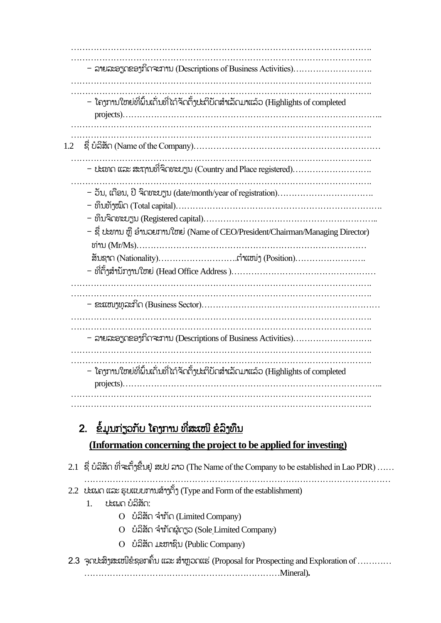……………………………………………………………………………………………. ……………………………………………………………………………………………. - ລຳຍລະອຽດຂອງກິດຈະກຳນ (Descriptions of Business Activities)………………………. ……………………………………………………………………………………………. …………………………………………………………………………………………….  $-$  ໂຄງການໃຫຍ່ທີ່ພິ້ນເດັ່ນທີ່ໄດ້ຈັດຕັ້ງປະຕິບັດສຳເລັດມາແລ້ວ (Highlights of completed projects)……………………………………………………………………………….. ……………………………………………………………………………………………. ……………………………………………………………………………………………. 1.2 ຊືຶ່ ບໍລິສ ດ (Name of the Company)………………………………………………………… ……………………………………………………………………………………………. - ປະເທດ ແລະ ສະຖຳນທີຶ່ຈົດທະບຽນ (Country and Place registered)………………………. ……………………………………………………………………………………………. – ວັນ, ເດືອນ, ປີ ຈົດທະບຽນ (date/month/year of registration)……………………………… - ທຶນທ ງໝົດ (Total capital)………………………………………………………………. - ທຶນຈົດທະບຽນ (Registered capital)…………………………………………………….. – ຊື່ ປະທານ ຫຼື ອຳນວຍການໃຫຍ່ (Name of CEO/President/Chairman/Managing Director) ທ່ຳນ (Mr/Ms)……………………………………………………………………… ສ ນຊຳດ (Nationality)……………………….ຕ ຳແໜ່ງ (Position)……………………. – ທີ່ຕັ້ງສຳນັກງານໃຫຍ່ (Head Office Address )…………………………………………… ……………………………………………………………………………………………. - ຂະແໜງທ ລະກິດ (Business Sector)……………………………………………………… ……………………………………………………………………………………………. ……………………………………………………………………………………………. - ລຳຍລະອຽດຂອງກິດຈະກຳນ (Descriptions of Business Activities)………………………. ……………………………………………………………………………………………. …………………………………………………………………………………………….  $-$  ໂຄງການໃຫຍ່ທີ່ນຶ້ນເດັ່ນທີ່ໄດ້ຈັດຕັ້ງປະຕິບັດສຳເລັດມາແລ້ວ (Highlights of completed projects)……………………………………………………………………………….. ……………………………………………………………………………………………. ……………………………………………………………………………………………. 2. ຂໍ້ມູນກ່ຽວກັບ ໂຄງການ ທີ່ສະເໜີ ຂໍລິງທຶນ **(Information concerning the project to be applied for investing)** 2.1 ຊື່ ບໍລິສັດ ທີ່ຈະຕັ້ງຂື້ນຢູ່ ສປປ ລາວ (The Name of the Company to be established in Lao PDR) …… ……………………………………………………………………………………………… 2.2 ປະເພດ ແລະ ຮຸບແບບການສ້າງຕັ້ງ (Type and Form of the establishment) 1. ປະເພດ ບໍລິສັດ:

- $O$  ບໍລິສັດ ຈຳກັດ (Limited Company)
- ບໍລິສ ດ ຈ ຳກ ດຜູຸ້ດຽວ (Sole Limited Company)
- ບໍລິສ ດ ມະຫຳຊົນ (Public Company)
- 2.3 ຈຸດປະສິງສະເໜີຂໍຊອກຄົ້ນ ແລະ ສຳຫຼວດແຮ່ (Proposal for Prospecting and Exploration of ………… ……………………………………………………………Mineral)**.**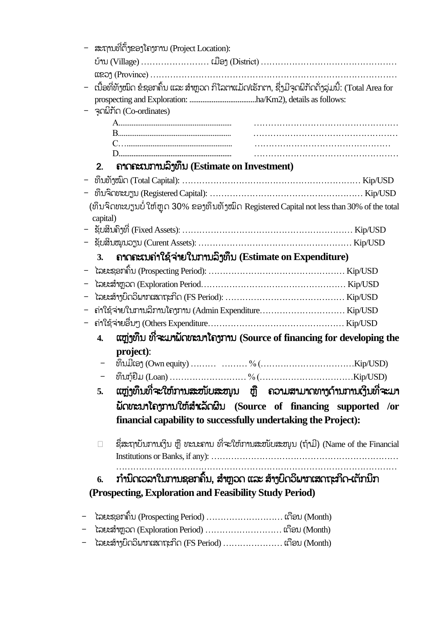| ສະຖານທີ່ຕັ້ງຂອງໂຄງການ (Project Location):                                                         |  |  |  |  |
|---------------------------------------------------------------------------------------------------|--|--|--|--|
|                                                                                                   |  |  |  |  |
|                                                                                                   |  |  |  |  |
| ເນື້ອທີ່ທັງໝົດ ຂໍຊອກຄົ້ນ ແລະ ສຳຫຼວດ ກິໂລຕາແມັດ/ເຮັກຕາ, ຊື່ງມີຈຸດພິກັດດັ່ງລຸ່ມນີ້: (Total Area for |  |  |  |  |
|                                                                                                   |  |  |  |  |
| จุดผีที่ก (Co-ordinates)                                                                          |  |  |  |  |
|                                                                                                   |  |  |  |  |
|                                                                                                   |  |  |  |  |
|                                                                                                   |  |  |  |  |
| ลากละเบทาบลิ๊ງທຶນ (Estimate on Investment)<br>2.                                                  |  |  |  |  |
|                                                                                                   |  |  |  |  |
|                                                                                                   |  |  |  |  |
| (ທຶນຈິດທະບຽນບໍ່ ໃຫ້ຫຼຸດ 30% ຂອງທຶນທັງໝົດ Registered Capital not less than 30% of the total        |  |  |  |  |
| capital)                                                                                          |  |  |  |  |
|                                                                                                   |  |  |  |  |
|                                                                                                   |  |  |  |  |
| ถากคะเบถ่าใຊ้จ่ายใบภาบลิ๊าทึบ (Estimate on Expenditure)<br>3.                                     |  |  |  |  |
|                                                                                                   |  |  |  |  |
|                                                                                                   |  |  |  |  |
|                                                                                                   |  |  |  |  |
| ຄ່າໃຊ້ຈ່າຍໃນການລິການໂຄງການ (Admin Expenditure Kip/USD                                             |  |  |  |  |
|                                                                                                   |  |  |  |  |
| ແຫຼ່ງທຶນ ທີ່ຈະມາຝັດທະນາໂຄງການ (Source of financing for developing the<br>$\overline{4}$ .         |  |  |  |  |
| project):                                                                                         |  |  |  |  |
|                                                                                                   |  |  |  |  |
|                                                                                                   |  |  |  |  |
| ແຫຼ່ງທຶນທີ່ຈະໃຫ້ການສະໜັບສະໜຸນ ຫຼື ຄວາມສາມາດທາງດ້ານການເງິນທີ່ຈະມາ<br>5.                            |  |  |  |  |
|                                                                                                   |  |  |  |  |
| ພັດທະນາໂຄງການໃຫ້ສຳເລັດຜິນ (Source of financing supported /or                                      |  |  |  |  |
| financial capability to successfully undertaking the Project):                                    |  |  |  |  |
| ຊື່ສະຖາບັນການເງິນ ຫຼື ທະນະຄານ ທີ່ຈະໃຫ້ການສະໜັບສະໜຸນ (ຖ້າມີ) (Name of the Financial                |  |  |  |  |
| $\Box$                                                                                            |  |  |  |  |
|                                                                                                   |  |  |  |  |
| ກຳນົດເວລາໃນການຊອກຄົ້ນ, ສຳຫຼວດ ແລະ ສ້າງບົດວິພາກເສດຖະກິດ-ເຕັກນິກ<br>6.                              |  |  |  |  |
| (Prospecting, Exploration and Feasibility Study Period)                                           |  |  |  |  |
|                                                                                                   |  |  |  |  |
| ໄລຍະຊອກຄົ້ນ (Prospecting Period)  ເດືອນ (Month)                                                   |  |  |  |  |
|                                                                                                   |  |  |  |  |

- ໄລຍະສຸ້ຳງບົດວິພຳກເສດຖະກິດ (FS Period) ………………… ເດືອນ (Month)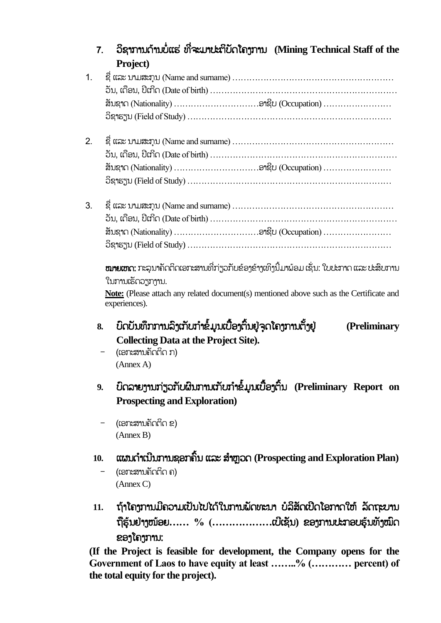| 7.  | ວິຊາການດ້ານບໍ່ແຮ່ ທີ່ຈະມາປະຕິບັດໂຄງການ (Mining Technical Staff of the<br>Project)             |  |  |  |
|-----|-----------------------------------------------------------------------------------------------|--|--|--|
| 1.  |                                                                                               |  |  |  |
|     |                                                                                               |  |  |  |
|     |                                                                                               |  |  |  |
|     |                                                                                               |  |  |  |
| 2.  |                                                                                               |  |  |  |
|     |                                                                                               |  |  |  |
|     |                                                                                               |  |  |  |
|     |                                                                                               |  |  |  |
| 3.  |                                                                                               |  |  |  |
|     |                                                                                               |  |  |  |
|     |                                                                                               |  |  |  |
|     |                                                                                               |  |  |  |
|     |                                                                                               |  |  |  |
|     | <b>ໝາຍເຫດ:</b> ກະລຸນາຄັດຕິດເອກະສານທີ່ກ່ຽວກັບຂ້ອງຂ້າງເທິງນີ້ມາພ້ອມ ເຊັ່ນ: ໃບປະກາດ ແລະ ປະສິບການ |  |  |  |
|     | ໃນການເຮັດວຽກງານ.                                                                              |  |  |  |
|     | Note: (Please attach any related document(s) mentioned above such as the Certificate and      |  |  |  |
|     | experiences).                                                                                 |  |  |  |
| 8.  | ບົດບັນທຶກການລິງເກັບກຳຂໍ້ມູນເບື້ອງຕົ້ນຢູ່ຈຸດໂຄງການຕັ້ງຢູ່<br>(Preliminary                      |  |  |  |
|     | <b>Collecting Data at the Project Site).</b>                                                  |  |  |  |
|     | (ເອກະສານຄັດຕິດ ກ)                                                                             |  |  |  |
|     | (Annex A)                                                                                     |  |  |  |
| 9.  | ບົດລາຍງານກ່ຽວກັບຜິນການເກັບກຳຂໍ້ມູນເບື້ອງຕິ້ນ (Preliminary Report on                           |  |  |  |
|     | <b>Prospecting and Exploration</b> )                                                          |  |  |  |
|     | (ເອກະສານຄັດຕິດ ຂ)                                                                             |  |  |  |
|     | (Annex B)                                                                                     |  |  |  |
|     |                                                                                               |  |  |  |
| 10. | ແຜນດຳເນີນການຊອກຄົ້ນ ແລະ ສຳຫຼວດ (Prospecting and Exploration Plan)                             |  |  |  |
|     | (ເອກະສານຄັດຕິດ ຄ)                                                                             |  |  |  |
|     | (Annex C)                                                                                     |  |  |  |

11. ຖ້າໂຄງການມີຄວາມເປັນໄປໄດ້ໃນການພັດທະນາ ບໍລິສັດເປີດໂອກາດໃຫ້ ລັດຖະບານ ຖືຮ ຸ້ນຢູ່ຳງໜຸ້ອຍ**…… % (………………**ເບີເຊ ນ**)** ຂອງກຳນປະກອບຮ ຸ້ນທ ງໝົດ ຂອງໂຄງກຳນ:

**(If the Project is feasible for development, the Company opens for the Government of Laos to have equity at least ……..% (………… percent) of the total equity for the project).**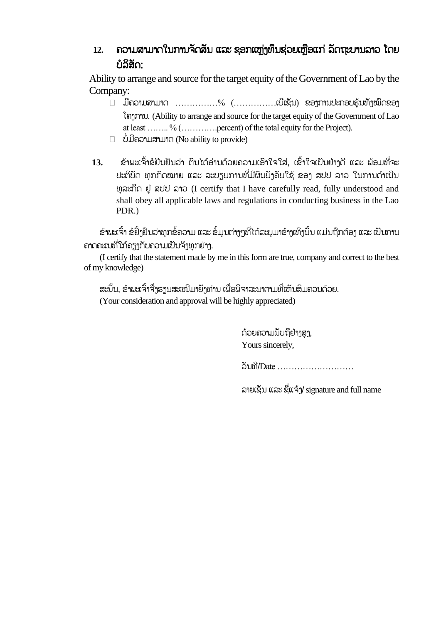### 12. ຄວາມສາມາດໃນການຈັດສັນ ແລະ ຊອກແຫຼ່ງທຶນຊ່ວຍເຫຼືອແກ່ ລັດຖະບານລາວ ໂດຍ ບໍລິສັດ:

Ability to arrange and source for the target equity of the Government of Lao by the Company:

- $\Box$  ມີຄວາມສາມາດ ………………%  $(\dots\dots\dots\dots\dots$ ແບີເຊັນ) ຂອງການປະກອບຮຸ້ນທັງໝົດຂອງ ໂຄງກຳນ. (Ability to arrange and source for the target equity of the Government of Lao at least …….. % (………….percent) of the total equity for the Project).
- ບໍໍ່ມີຄວຳມສຳມຳດ (No ability to provide)
- **13.** ຂຸ້ຳພະເຈົັ້ຳຂໍຢືນຢັນວ່ຳ ຕົນໄດຸ້ອ່ຳນດຸ້ວຍຄວຳມເອົຳໃຈໃສ່, ເຂົັ້ຳໃຈເປັນຢູ່ຳງດີ ແລະ ພຸ້ອມທີຶ່ຈະ ປະຕິບັດ ທຸກກົດໝາຍ ແລະ ລະບຽບການທີ່ມີຜົນບ້າຄັບໃຊ້ ຂອງ ສປປ ລາວ ໃນການດຳເນີນ ທ ລະກິດ ຢູູ່ ສປປ ລຳວ (I certify that I have carefully read, fully understood and shall obey all applicable laws and regulations in conducting business in the Lao PDR.)

ຂ້າພະເຈົ້າ ຂໍຢ້ຳຢືນວ່າທຸກຂໍ້ຄວາມ ແລະ ຂໍ້ມູນຕ່າງໆທີ່ໄດ້ລະບຸມາຂ້າງເທິງນັ້ນ ແມ່ນຖືກຕ້ອງ ແລະ ເປັນການ ຄາດຄະເນທີ່ໃກ້ຄຽງກັບຄວາມເປັນຈິງທຸກຢ່າງ.

(I certify that the statement made by me in this form are true, company and correct to the best of my knowledge)

ສະນັ້ນ, ຂ້າພະເຈົ້າຈື່ງຮຽນສະເໜີມາຍັງທ່ານ ເພື່ອພິຈາລະນາຕາມທີ່ເຫັນສິມຄວນດ້ວຍ. (Your consideration and approval will be highly appreciated)

> ດ້ວຍຄວາມນັບຖືຢ່າາສາ. Yours sincerely,

ວ ນທີ/Date ………………………

ລຳຍເຊ ນ ແລະ ຊືຶ່ແຈຸ້ງ/signature and full name